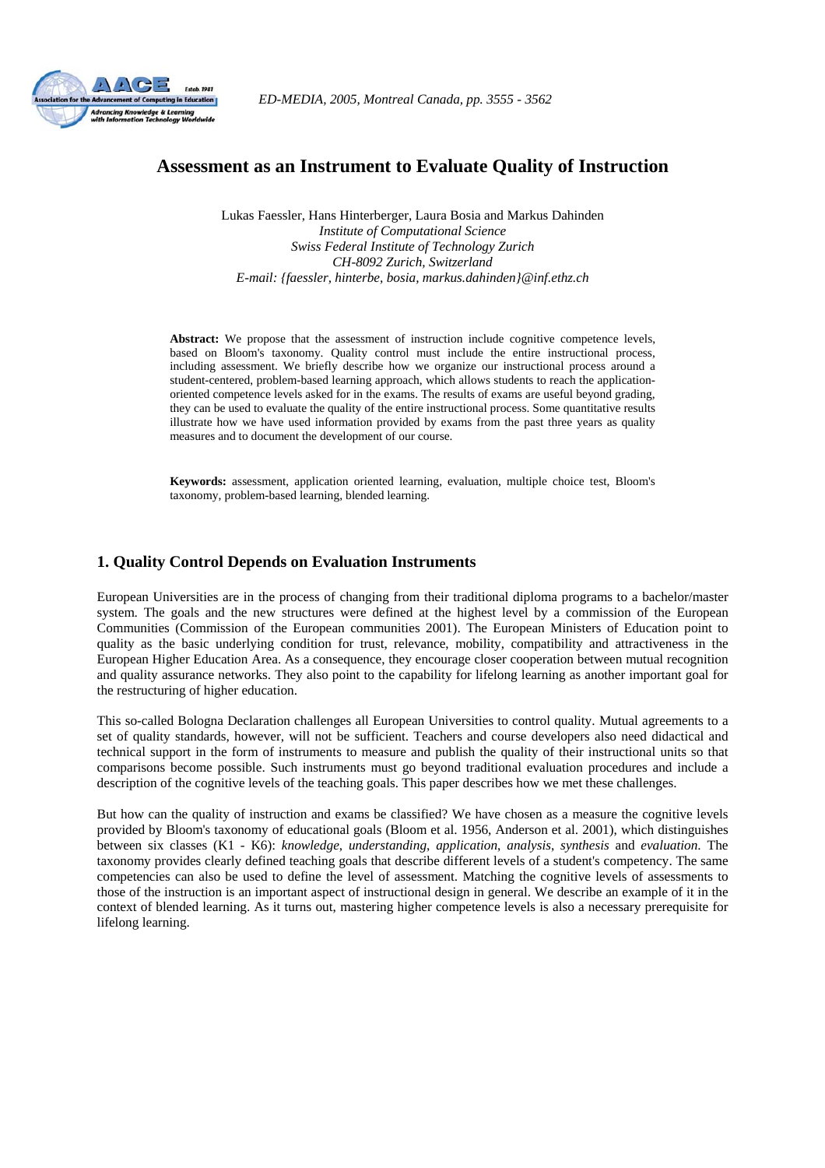

# **Assessment as an Instrument to Evaluate Quality of Instruction**

Lukas Faessler, Hans Hinterberger, Laura Bosia and Markus Dahinden *Institute of Computational Science Swiss Federal Institute of Technology Zurich CH-8092 Zurich, Switzerland E-mail: {faessler, hinterbe, bosia, markus.dahinden}@inf.ethz.ch* 

**Abstract:** We propose that the assessment of instruction include cognitive competence levels, based on Bloom's taxonomy. Quality control must include the entire instructional process, including assessment. We briefly describe how we organize our instructional process around a student-centered, problem-based learning approach, which allows students to reach the applicationoriented competence levels asked for in the exams. The results of exams are useful beyond grading, they can be used to evaluate the quality of the entire instructional process. Some quantitative results illustrate how we have used information provided by exams from the past three years as quality measures and to document the development of our course.

**Keywords:** assessment, application oriented learning, evaluation, multiple choice test, Bloom's taxonomy, problem-based learning, blended learning.

## **1. Quality Control Depends on Evaluation Instruments**

European Universities are in the process of changing from their traditional diploma programs to a bachelor/master system. The goals and the new structures were defined at the highest level by a commission of the European Communities (Commission of the European communities 2001). The European Ministers of Education point to quality as the basic underlying condition for trust, relevance, mobility, compatibility and attractiveness in the European Higher Education Area. As a consequence, they encourage closer cooperation between mutual recognition and quality assurance networks. They also point to the capability for lifelong learning as another important goal for the restructuring of higher education.

This so-called Bologna Declaration challenges all European Universities to control quality. Mutual agreements to a set of quality standards, however, will not be sufficient. Teachers and course developers also need didactical and technical support in the form of instruments to measure and publish the quality of their instructional units so that comparisons become possible. Such instruments must go beyond traditional evaluation procedures and include a description of the cognitive levels of the teaching goals. This paper describes how we met these challenges.

But how can the quality of instruction and exams be classified? We have chosen as a measure the cognitive levels provided by Bloom's taxonomy of educational goals (Bloom et al. 1956, Anderson et al. 2001), which distinguishes between six classes (K1 - K6): *knowledge*, *understanding*, *application*, *analysis*, *synthesis* and *evaluation*. The taxonomy provides clearly defined teaching goals that describe different levels of a student's competency. The same competencies can also be used to define the level of assessment. Matching the cognitive levels of assessments to those of the instruction is an important aspect of instructional design in general. We describe an example of it in the context of blended learning. As it turns out, mastering higher competence levels is also a necessary prerequisite for lifelong learning.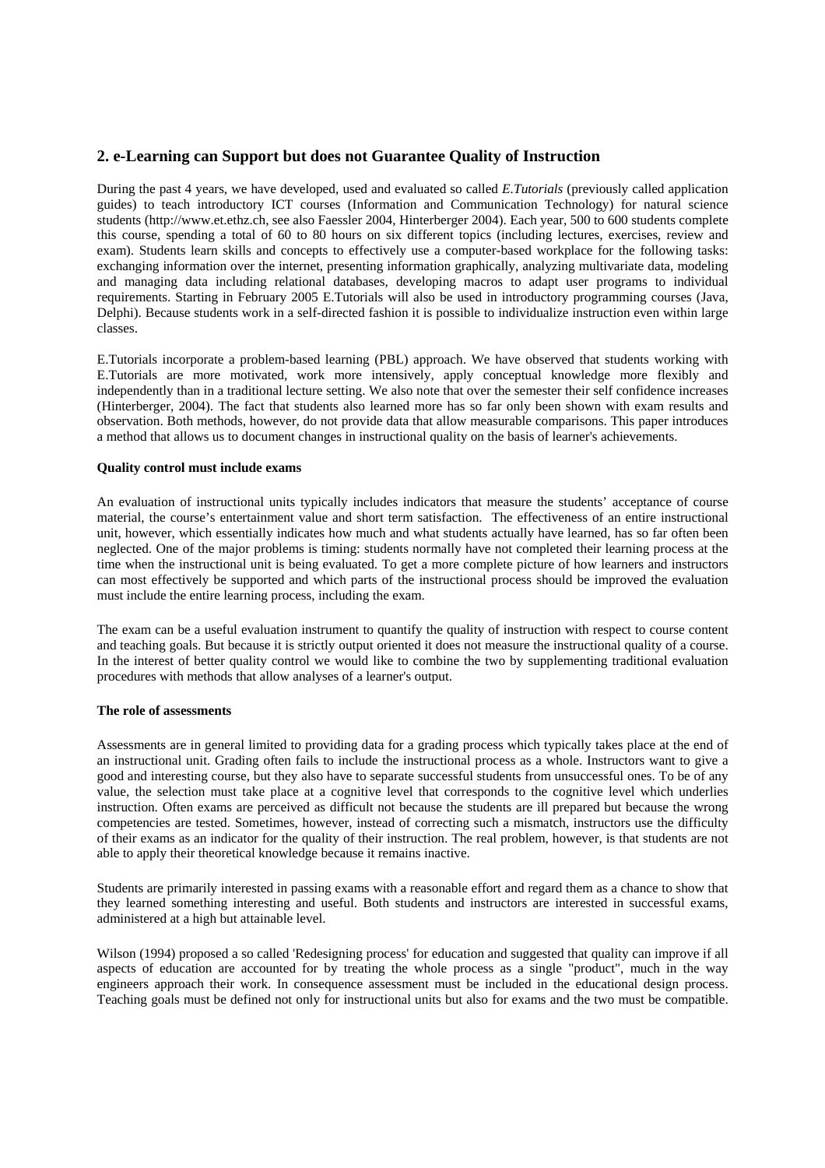## **2. e-Learning can Support but does not Guarantee Quality of Instruction**

During the past 4 years, we have developed, used and evaluated so called *E.Tutorials* (previously called application guides) to teach introductory ICT courses (Information and Communication Technology) for natural science students (http://www.et.ethz.ch, see also Faessler 2004, Hinterberger 2004). Each year, 500 to 600 students complete this course, spending a total of 60 to 80 hours on six different topics (including lectures, exercises, review and exam). Students learn skills and concepts to effectively use a computer-based workplace for the following tasks: exchanging information over the internet, presenting information graphically, analyzing multivariate data, modeling and managing data including relational databases, developing macros to adapt user programs to individual requirements. Starting in February 2005 E.Tutorials will also be used in introductory programming courses (Java, Delphi). Because students work in a self-directed fashion it is possible to individualize instruction even within large classes.

E.Tutorials incorporate a problem-based learning (PBL) approach. We have observed that students working with E.Tutorials are more motivated, work more intensively, apply conceptual knowledge more flexibly and independently than in a traditional lecture setting. We also note that over the semester their self confidence increases (Hinterberger, 2004). The fact that students also learned more has so far only been shown with exam results and observation. Both methods, however, do not provide data that allow measurable comparisons. This paper introduces a method that allows us to document changes in instructional quality on the basis of learner's achievements.

## **Quality control must include exams**

An evaluation of instructional units typically includes indicators that measure the students' acceptance of course material, the course's entertainment value and short term satisfaction. The effectiveness of an entire instructional unit, however, which essentially indicates how much and what students actually have learned, has so far often been neglected. One of the major problems is timing: students normally have not completed their learning process at the time when the instructional unit is being evaluated. To get a more complete picture of how learners and instructors can most effectively be supported and which parts of the instructional process should be improved the evaluation must include the entire learning process, including the exam.

The exam can be a useful evaluation instrument to quantify the quality of instruction with respect to course content and teaching goals. But because it is strictly output oriented it does not measure the instructional quality of a course. In the interest of better quality control we would like to combine the two by supplementing traditional evaluation procedures with methods that allow analyses of a learner's output.

### **The role of assessments**

Assessments are in general limited to providing data for a grading process which typically takes place at the end of an instructional unit. Grading often fails to include the instructional process as a whole. Instructors want to give a good and interesting course, but they also have to separate successful students from unsuccessful ones. To be of any value, the selection must take place at a cognitive level that corresponds to the cognitive level which underlies instruction. Often exams are perceived as difficult not because the students are ill prepared but because the wrong competencies are tested. Sometimes, however, instead of correcting such a mismatch, instructors use the difficulty of their exams as an indicator for the quality of their instruction. The real problem, however, is that students are not able to apply their theoretical knowledge because it remains inactive.

Students are primarily interested in passing exams with a reasonable effort and regard them as a chance to show that they learned something interesting and useful. Both students and instructors are interested in successful exams, administered at a high but attainable level.

Wilson (1994) proposed a so called 'Redesigning process' for education and suggested that quality can improve if all aspects of education are accounted for by treating the whole process as a single "product", much in the way engineers approach their work. In consequence assessment must be included in the educational design process. Teaching goals must be defined not only for instructional units but also for exams and the two must be compatible.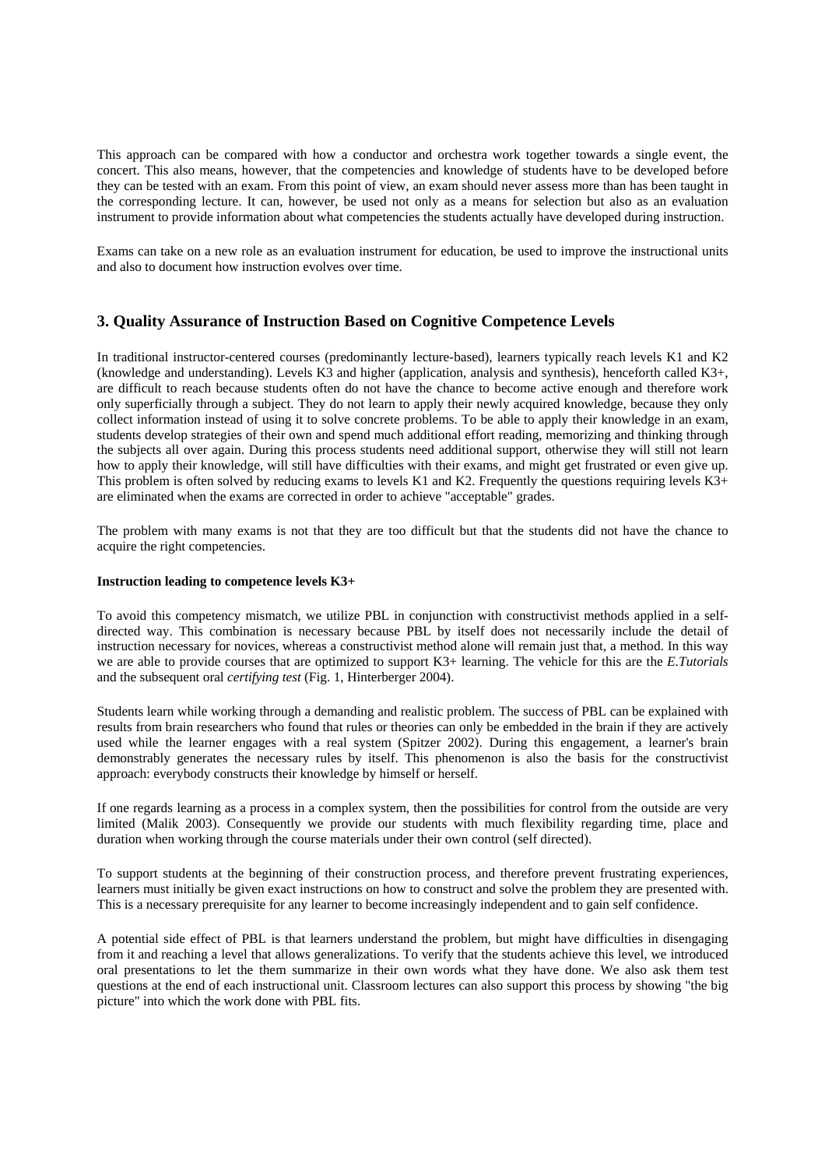This approach can be compared with how a conductor and orchestra work together towards a single event, the concert. This also means, however, that the competencies and knowledge of students have to be developed before they can be tested with an exam. From this point of view, an exam should never assess more than has been taught in the corresponding lecture. It can, however, be used not only as a means for selection but also as an evaluation instrument to provide information about what competencies the students actually have developed during instruction.

Exams can take on a new role as an evaluation instrument for education, be used to improve the instructional units and also to document how instruction evolves over time.

## **3. Quality Assurance of Instruction Based on Cognitive Competence Levels**

In traditional instructor-centered courses (predominantly lecture-based), learners typically reach levels K1 and K2 (knowledge and understanding). Levels K3 and higher (application, analysis and synthesis), henceforth called K3+, are difficult to reach because students often do not have the chance to become active enough and therefore work only superficially through a subject. They do not learn to apply their newly acquired knowledge, because they only collect information instead of using it to solve concrete problems. To be able to apply their knowledge in an exam, students develop strategies of their own and spend much additional effort reading, memorizing and thinking through the subjects all over again. During this process students need additional support, otherwise they will still not learn how to apply their knowledge, will still have difficulties with their exams, and might get frustrated or even give up. This problem is often solved by reducing exams to levels K1 and K2. Frequently the questions requiring levels  $K3+$ are eliminated when the exams are corrected in order to achieve "acceptable" grades.

The problem with many exams is not that they are too difficult but that the students did not have the chance to acquire the right competencies.

#### **Instruction leading to competence levels K3+**

To avoid this competency mismatch, we utilize PBL in conjunction with constructivist methods applied in a selfdirected way. This combination is necessary because PBL by itself does not necessarily include the detail of instruction necessary for novices, whereas a constructivist method alone will remain just that, a method. In this way we are able to provide courses that are optimized to support K3+ learning. The vehicle for this are the *E.Tutorials* and the subsequent oral *certifying test* (Fig. 1, Hinterberger 2004).

Students learn while working through a demanding and realistic problem. The success of PBL can be explained with results from brain researchers who found that rules or theories can only be embedded in the brain if they are actively used while the learner engages with a real system (Spitzer 2002). During this engagement, a learner's brain demonstrably generates the necessary rules by itself. This phenomenon is also the basis for the constructivist approach: everybody constructs their knowledge by himself or herself.

If one regards learning as a process in a complex system, then the possibilities for control from the outside are very limited (Malik 2003). Consequently we provide our students with much flexibility regarding time, place and duration when working through the course materials under their own control (self directed).

To support students at the beginning of their construction process, and therefore prevent frustrating experiences, learners must initially be given exact instructions on how to construct and solve the problem they are presented with. This is a necessary prerequisite for any learner to become increasingly independent and to gain self confidence.

A potential side effect of PBL is that learners understand the problem, but might have difficulties in disengaging from it and reaching a level that allows generalizations. To verify that the students achieve this level, we introduced oral presentations to let the them summarize in their own words what they have done. We also ask them test questions at the end of each instructional unit. Classroom lectures can also support this process by showing "the big picture" into which the work done with PBL fits.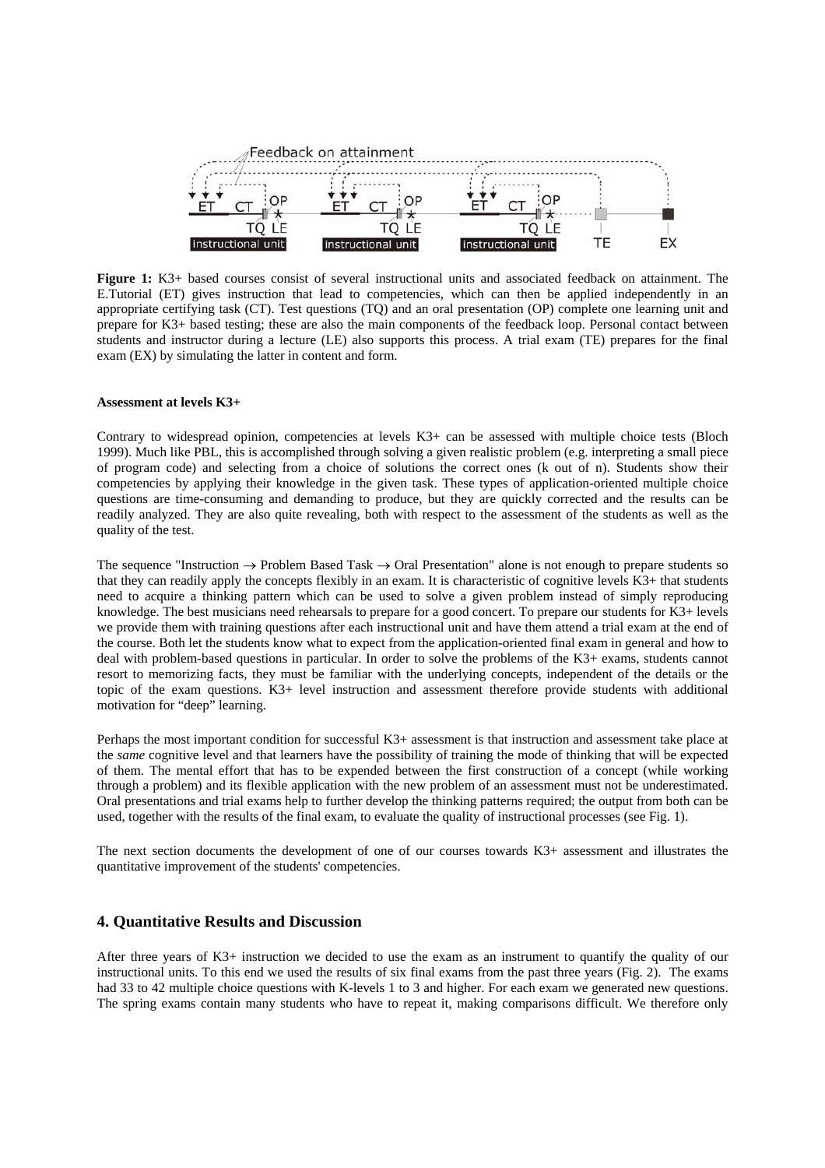

**Figure 1:** K3+ based courses consist of several instructional units and associated feedback on attainment. The E.Tutorial (ET) gives instruction that lead to competencies, which can then be applied independently in an appropriate certifying task (CT). Test questions (TQ) and an oral presentation (OP) complete one learning unit and prepare for K3+ based testing; these are also the main components of the feedback loop. Personal contact between students and instructor during a lecture (LE) also supports this process. A trial exam (TE) prepares for the final exam (EX) by simulating the latter in content and form.

## **Assessment at levels K3+**

Contrary to widespread opinion, competencies at levels K3+ can be assessed with multiple choice tests (Bloch 1999). Much like PBL, this is accomplished through solving a given realistic problem (e.g. interpreting a small piece of program code) and selecting from a choice of solutions the correct ones (k out of n). Students show their competencies by applying their knowledge in the given task. These types of application-oriented multiple choice questions are time-consuming and demanding to produce, but they are quickly corrected and the results can be readily analyzed. They are also quite revealing, both with respect to the assessment of the students as well as the quality of the test.

The sequence "Instruction  $\rightarrow$  Problem Based Task  $\rightarrow$  Oral Presentation" alone is not enough to prepare students so that they can readily apply the concepts flexibly in an exam. It is characteristic of cognitive levels K3+ that students need to acquire a thinking pattern which can be used to solve a given problem instead of simply reproducing knowledge. The best musicians need rehearsals to prepare for a good concert. To prepare our students for K3+ levels we provide them with training questions after each instructional unit and have them attend a trial exam at the end of the course. Both let the students know what to expect from the application-oriented final exam in general and how to deal with problem-based questions in particular. In order to solve the problems of the K3+ exams, students cannot resort to memorizing facts, they must be familiar with the underlying concepts, independent of the details or the topic of the exam questions. K3+ level instruction and assessment therefore provide students with additional motivation for "deep" learning.

Perhaps the most important condition for successful K3+ assessment is that instruction and assessment take place at the *same* cognitive level and that learners have the possibility of training the mode of thinking that will be expected of them. The mental effort that has to be expended between the first construction of a concept (while working through a problem) and its flexible application with the new problem of an assessment must not be underestimated. Oral presentations and trial exams help to further develop the thinking patterns required; the output from both can be used, together with the results of the final exam, to evaluate the quality of instructional processes (see Fig. 1).

The next section documents the development of one of our courses towards K3+ assessment and illustrates the quantitative improvement of the students' competencies.

## **4. Quantitative Results and Discussion**

After three years of K3+ instruction we decided to use the exam as an instrument to quantify the quality of our instructional units. To this end we used the results of six final exams from the past three years (Fig. 2). The exams had 33 to 42 multiple choice questions with K-levels 1 to 3 and higher. For each exam we generated new questions. The spring exams contain many students who have to repeat it, making comparisons difficult. We therefore only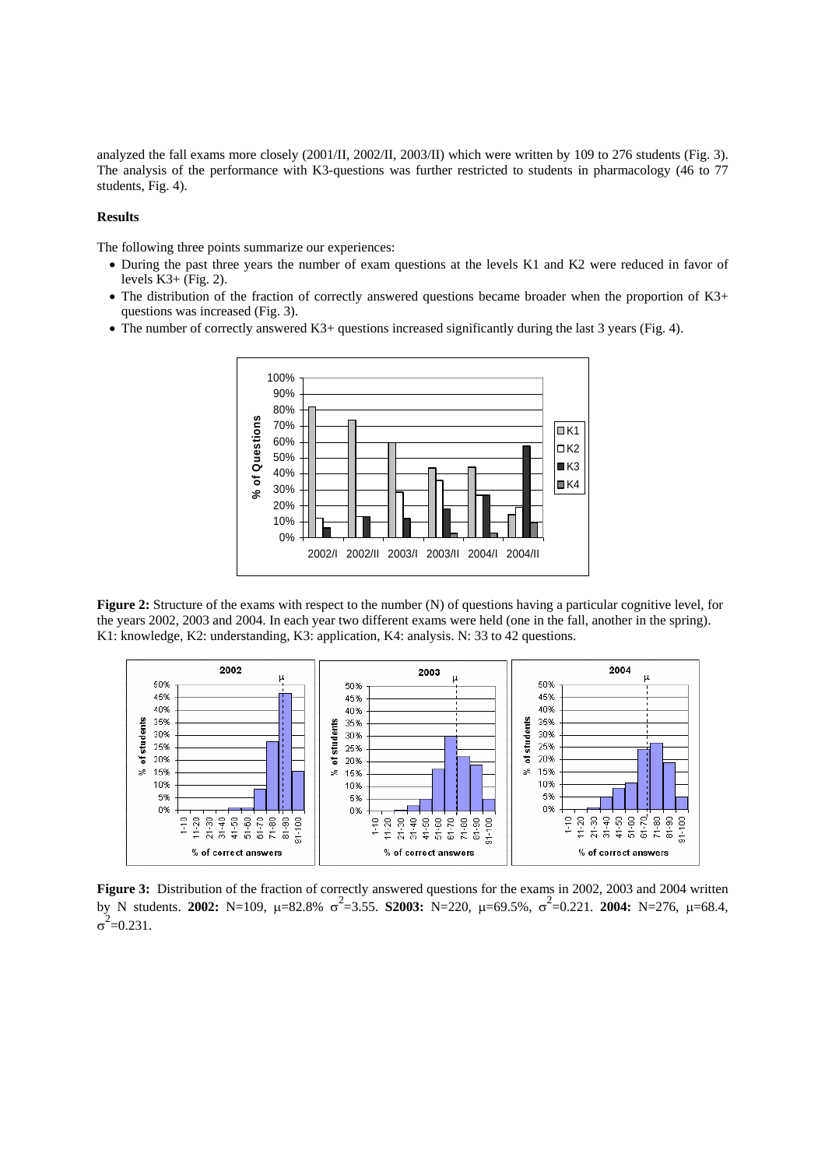analyzed the fall exams more closely (2001/II, 2002/II, 2003/II) which were written by 109 to 276 students (Fig. 3). The analysis of the performance with K3-questions was further restricted to students in pharmacology (46 to 77 students, Fig. 4).

#### **Results**

The following three points summarize our experiences:

- During the past three years the number of exam questions at the levels K1 and K2 were reduced in favor of levels  $K3+$  (Fig. 2).
- The distribution of the fraction of correctly answered questions became broader when the proportion of K3+ questions was increased (Fig. 3).
- The number of correctly answered K3+ questions increased significantly during the last 3 years (Fig. 4).



**Figure 2:** Structure of the exams with respect to the number (N) of questions having a particular cognitive level, for the years 2002, 2003 and 2004. In each year two different exams were held (one in the fall, another in the spring). K1: knowledge, K2: understanding, K3: application, K4: analysis. N: 33 to 42 questions.



**Figure 3:** Distribution of the fraction of correctly answered questions for the exams in 2002, 2003 and 2004 written by N students. **2002:** N=109, μ=82.8%  $\sigma^2$ =3.55. **S2003:** N=220, μ=69.5%,  $\sigma^2$ =0.221. **2004:** N=276, μ=68.4,  $\sigma^2$ =0.231.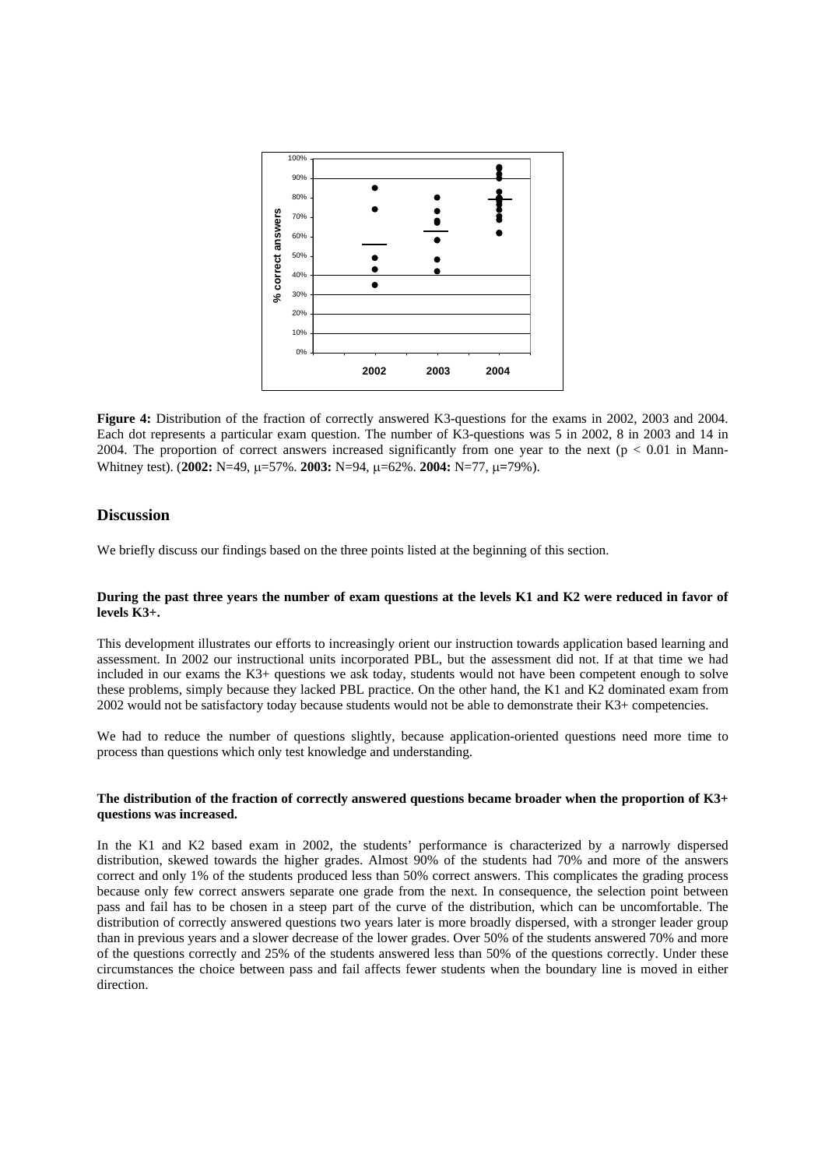![](_page_5_Figure_0.jpeg)

**Figure 4:** Distribution of the fraction of correctly answered K3-questions for the exams in 2002, 2003 and 2004. Each dot represents a particular exam question. The number of K3-questions was 5 in 2002, 8 in 2003 and 14 in 2004. The proportion of correct answers increased significantly from one year to the next ( $p < 0.01$  in Mann-Whitney test). (**2002:** N=49, µ=57%. **2003:** N=94, µ=62%. **2004:** N=77, µ**=**79%).

## **Discussion**

We briefly discuss our findings based on the three points listed at the beginning of this section.

### **During the past three years the number of exam questions at the levels K1 and K2 were reduced in favor of levels K3+.**

This development illustrates our efforts to increasingly orient our instruction towards application based learning and assessment. In 2002 our instructional units incorporated PBL, but the assessment did not. If at that time we had included in our exams the K3+ questions we ask today, students would not have been competent enough to solve these problems, simply because they lacked PBL practice. On the other hand, the K1 and K2 dominated exam from 2002 would not be satisfactory today because students would not be able to demonstrate their K3+ competencies.

We had to reduce the number of questions slightly, because application-oriented questions need more time to process than questions which only test knowledge and understanding.

## **The distribution of the fraction of correctly answered questions became broader when the proportion of K3+ questions was increased.**

In the K1 and K2 based exam in 2002, the students' performance is characterized by a narrowly dispersed distribution, skewed towards the higher grades. Almost 90% of the students had 70% and more of the answers correct and only 1% of the students produced less than 50% correct answers. This complicates the grading process because only few correct answers separate one grade from the next. In consequence, the selection point between pass and fail has to be chosen in a steep part of the curve of the distribution, which can be uncomfortable. The distribution of correctly answered questions two years later is more broadly dispersed, with a stronger leader group than in previous years and a slower decrease of the lower grades. Over 50% of the students answered 70% and more of the questions correctly and 25% of the students answered less than 50% of the questions correctly. Under these circumstances the choice between pass and fail affects fewer students when the boundary line is moved in either direction.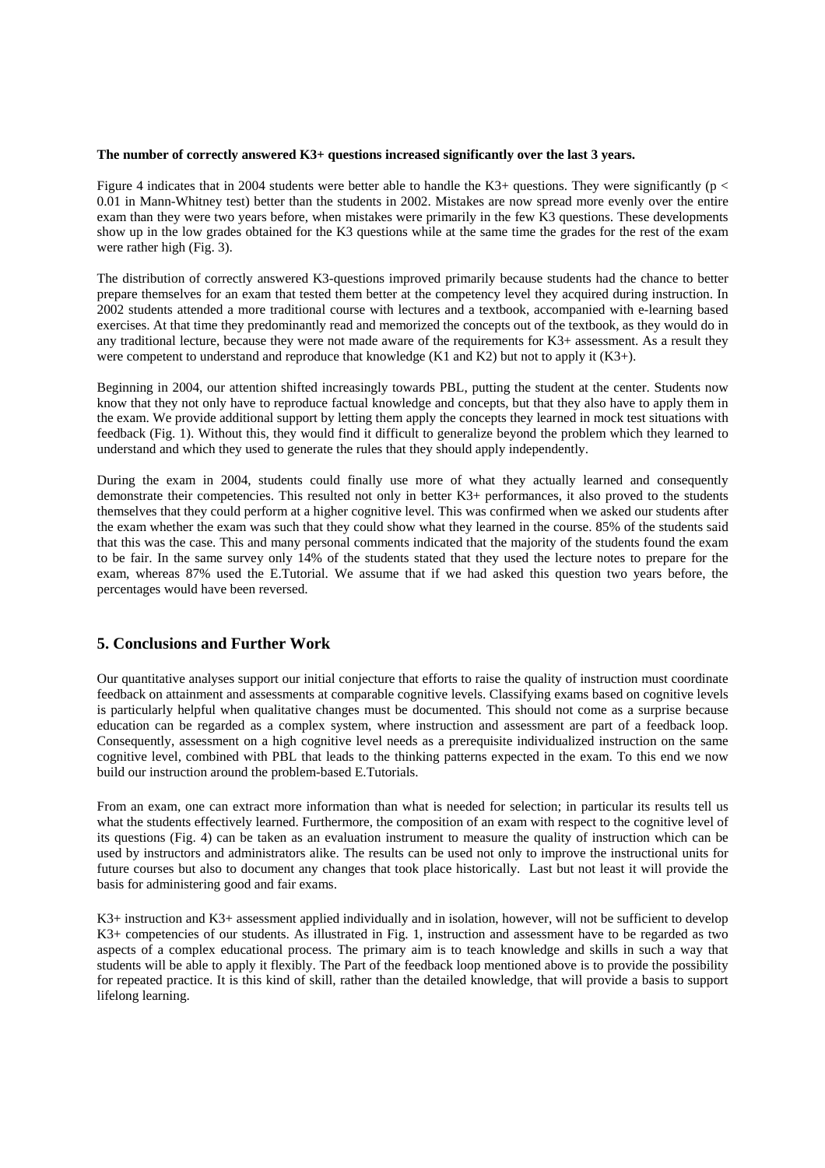#### **The number of correctly answered K3+ questions increased significantly over the last 3 years.**

Figure 4 indicates that in 2004 students were better able to handle the K3+ questions. They were significantly ( $p <$ 0.01 in Mann-Whitney test) better than the students in 2002. Mistakes are now spread more evenly over the entire exam than they were two years before, when mistakes were primarily in the few K3 questions. These developments show up in the low grades obtained for the K3 questions while at the same time the grades for the rest of the exam were rather high (Fig. 3).

The distribution of correctly answered K3-questions improved primarily because students had the chance to better prepare themselves for an exam that tested them better at the competency level they acquired during instruction. In 2002 students attended a more traditional course with lectures and a textbook, accompanied with e-learning based exercises. At that time they predominantly read and memorized the concepts out of the textbook, as they would do in any traditional lecture, because they were not made aware of the requirements for K3+ assessment. As a result they were competent to understand and reproduce that knowledge (K1 and K2) but not to apply it (K3+).

Beginning in 2004, our attention shifted increasingly towards PBL, putting the student at the center. Students now know that they not only have to reproduce factual knowledge and concepts, but that they also have to apply them in the exam. We provide additional support by letting them apply the concepts they learned in mock test situations with feedback (Fig. 1). Without this, they would find it difficult to generalize beyond the problem which they learned to understand and which they used to generate the rules that they should apply independently.

During the exam in 2004, students could finally use more of what they actually learned and consequently demonstrate their competencies. This resulted not only in better K3+ performances, it also proved to the students themselves that they could perform at a higher cognitive level. This was confirmed when we asked our students after the exam whether the exam was such that they could show what they learned in the course. 85% of the students said that this was the case. This and many personal comments indicated that the majority of the students found the exam to be fair. In the same survey only 14% of the students stated that they used the lecture notes to prepare for the exam, whereas 87% used the E.Tutorial. We assume that if we had asked this question two years before, the percentages would have been reversed.

## **5. Conclusions and Further Work**

Our quantitative analyses support our initial conjecture that efforts to raise the quality of instruction must coordinate feedback on attainment and assessments at comparable cognitive levels. Classifying exams based on cognitive levels is particularly helpful when qualitative changes must be documented. This should not come as a surprise because education can be regarded as a complex system, where instruction and assessment are part of a feedback loop. Consequently, assessment on a high cognitive level needs as a prerequisite individualized instruction on the same cognitive level, combined with PBL that leads to the thinking patterns expected in the exam. To this end we now build our instruction around the problem-based E.Tutorials.

From an exam, one can extract more information than what is needed for selection; in particular its results tell us what the students effectively learned. Furthermore, the composition of an exam with respect to the cognitive level of its questions (Fig. 4) can be taken as an evaluation instrument to measure the quality of instruction which can be used by instructors and administrators alike. The results can be used not only to improve the instructional units for future courses but also to document any changes that took place historically. Last but not least it will provide the basis for administering good and fair exams.

K3+ instruction and K3+ assessment applied individually and in isolation, however, will not be sufficient to develop K3+ competencies of our students. As illustrated in Fig. 1, instruction and assessment have to be regarded as two aspects of a complex educational process. The primary aim is to teach knowledge and skills in such a way that students will be able to apply it flexibly. The Part of the feedback loop mentioned above is to provide the possibility for repeated practice. It is this kind of skill, rather than the detailed knowledge, that will provide a basis to support lifelong learning.